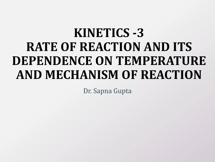# **KINETICS -3 RATE OF REACTION AND ITS DEPENDENCE ON TEMPERATURE AND MECHANISM OF REACTION**

Dr. Sapna Gupta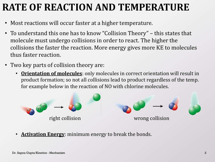### **RATE OF REACTION AND TEMPERATURE**

- Most reactions will occur faster at a higher temperature.
- To understand this one has to know "Collision Theory" this states that molecule must undergo collisions in order to react. The higher the collisions the faster the reaction. More energy gives more KE to molecules thus faster reaction.
- Two key parts of collision theory are:
	- **Orientation of molecules**: only molecules in correct orientation will result in product formation; so not all collisions lead to product regardless of the temp. for example below in the reaction of NO with chlorine molecules.



• **Activation Energy**: minimum energy to break the bonds.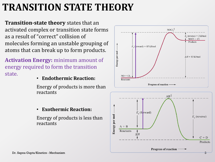## **TRANSITION STATE THEORY**

**Transition-state theory** states that an activated complex or transition state forms as a result of "correct" collision of molecules forming an unstable grouping of atoms that can break up to form products.

**Activation Energy:** minimum amount of energy required to form the transition state.

#### • **Endothermic Reaction:**

Energy of products is more than reactants



Energy of products is less than reactants



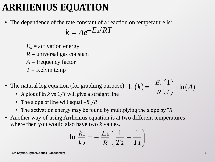#### **ARRHENIUS EQUATION**

• The dependence of the rate constant of a reaction on temperature is:

$$
k = Ae^{-Ea/RT}
$$

 $E_a$  = activation energy  $R =$  universal gas constant *A* = frequency factor *T* = Kelvin temp

- The natural log equation (for graphing purpose)  $\ln(k) = -\frac{E_a}{R}\left(\frac{1}{k}\right) + \ln(A)$  $\frac{a}{R}$  $\left(\frac{-a}{t}\right)$  $\left(\frac{1}{2}\right)_{\pm 1}$  $=-\frac{E_{\rm a}}{R}\left(\frac{1}{t}\right)+\ln \left(\frac{1}{R}\right)$ 
	- A plot of ln *k* vs 1/*T* will give a straight line
	- The slope of line will equal  $-E_a/R$
	- The activation energy may be found by multiplying the slope by "*R*"
- Another way of using Arrhenius equation is at two different temperatures where then you would also have two *k* values.  $\frac{\text{ues.}}{\left(\frac{1}{11}-\frac{1}{11}\right)}$

so have two *k* values.  
\n
$$
\ln \frac{k_1}{k_2} = -\frac{E_a}{R} \left( \frac{1}{T_2} - \frac{1}{T_1} \right)
$$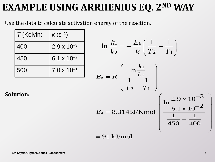#### **EXAMPLE USING ARRHENIUS EQ. 2ND WAY**

Use the data to calculate activation energy of the reaction.

| $T$ (Kelvin) | $k(s^{-1})$          |
|--------------|----------------------|
| 400          | $2.9 \times 10^{-3}$ |
| 450          | $6.1 \times 10^{-2}$ |
| 500          | $7.0 \times 10^{-1}$ |

$$
\ln \frac{k_1}{k_2} = -\frac{E_a}{R} \left( \frac{1}{T_2} - \frac{1}{T_1} \right)
$$
  
\n
$$
E_a = R \left( \frac{\ln \frac{k_1}{k_2}}{\frac{1}{T_2} - \frac{1}{T_1}} \right)
$$
  
\n
$$
E_a = 8.3145 \text{J/Kmol} \left( \frac{\ln \frac{2.9 \times 10^{-3}}{6.1 \times 10^{-2}}}{\frac{1}{450} - \frac{1}{400}} \right)
$$
  
\n= 91 kJ/mol

 $=$ 

**Solution:**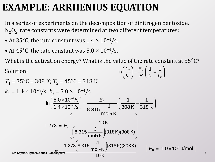#### **EXAMPLE: ARRHENIUS EQUATION**

In a series of experiments on the decomposition of dinitrogen pentoxide,  $\rm N_2O_5$ , rate constants were determined at two different temperatures:

- At 35°C, the rate constant was  $1.4 \times 10^{-4}/s$ .
- At 45°C, the rate constant was  $5.0 \times 10^{-4}/s$ .

What is the activation energy? What is the value of the rate constant at 55°C?

Solution:

Solution:  
\n
$$
\ln\left(\frac{k_2}{k_1}\right) = \frac{E_a}{R} \left(\frac{1}{T_1} - \frac{1}{T_2}\right)
$$
\n
$$
T_1 = 35^{\circ}\text{C} = 308 \text{ K}; T_2 = 45^{\circ}\text{C} = 318 \text{ K}
$$
\n
$$
k_1 = 1.4 \times 10^{-4} \text{/s}; k_2 = 5.0 \times 10^{-4} \text{/s}
$$
\n
$$
\ln\left(\frac{5.0 \times 10^{-4} \text{/s}}{1.4 \times 10^{-4} \text{/s}}\right) = \frac{E_a}{8.315 \frac{\text{J}}{\text{mol} \cdot \text{K}}} \left(\frac{1}{308 \text{K}} - \frac{1}{318 \text{K}}\right)
$$
\n
$$
1.273 = E_a \left(\frac{10 \text{ K}}{\left(8.315 \frac{\text{J}}{\text{mol} \cdot \text{K}}\right) (318 \text{K}) (308 \text{K})}\right)
$$
\n
$$
\ln\left(\frac{1.273}{8.315} \times \frac{1}{\text{mol} \cdot \text{K}}\right) (318 \text{K}) (308 \text{K})
$$
\n
$$
\ln\left(\frac{1.273}{8.315 \frac{\text{J}}{\text{mol} \cdot \text{K}}}\right) (318 \text{K}) (308 \text{K})
$$
\n
$$
E_a = 1.0 \times 10^5 \text{ J/mol}
$$
\n6

)

ſ

 $\setminus$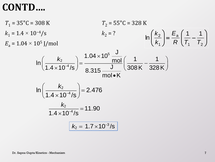#### **CONTD….**

$$
T_1 = 35^{\circ}\text{C} = 308 \text{ K} \qquad T_2 = 55^{\circ}\text{C} = 328 \text{ K}
$$
\n
$$
k_1 = 1.4 \times 10^{-4}/\text{s} \qquad k_2 = ? \qquad \ln\left(\frac{k_2}{k_1}\right) = \frac{E_a}{R}\left(\frac{1}{T_1} - \frac{1}{T_2}\right)
$$
\n
$$
I_n\left(\frac{k_2}{1.4 \times 10^{-4}/\text{s}}\right) = \frac{1.04 \times 10^5 \frac{\text{J}}{\text{mol}}}{8.315 \frac{\text{J}}{\text{mol} \cdot \text{K}}} \left(\frac{1}{308 \text{ K}} - \frac{1}{328 \text{ K}}\right)
$$
\n
$$
I_n\left(\frac{k_2}{1.4 \times 10^{-4}/\text{s}}\right) = 2.476
$$
\n
$$
\frac{k_2}{1.4 \times 10^{-4}/\text{s}} = 11.90
$$
\n
$$
k_2 = 1.7 \times 10^{-3}/\text{s}
$$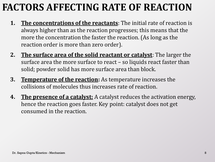## **FACTORS AFFECTING RATE OF REACTION**

- **1. The concentrations of the reactants**: The initial rate of reaction is always higher than as the reaction progresses; this means that the more the concentration the faster the reaction. (As long as the reaction order is more than zero order).
- **2. The surface area of the solid reactant or catalyst**: The larger the surface area the more surface to react – so liquids react faster than solid; powder solid has more surface area than block.
- **3. Temperature of the reaction:** As temperature increases the collisions of molecules thus increases rate of reaction.
- **4. The presence of a catalyst:** A catalyst reduces the activation energy, hence the reaction goes faster. Key point: catalyst does not get consumed in the reaction.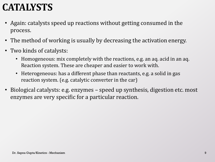## **CATALYSTS**

- Again: catalysts speed up reactions without getting consumed in the process.
- The method of working is usually by decreasing the activation energy.
- Two kinds of catalysts:
	- Homogeneous: mix completely with the reactions, e.g. an aq. acid in an aq. Reaction system. These are cheaper and easier to work with.
	- Heterogeneous: has a different phase than reactants, e.g. a solid in gas reaction system. (e.g. catalytic converter in the car)
- Biological catalysts: e.g. enzymes speed up synthesis, digestion etc. most enzymes are very specific for a particular reaction.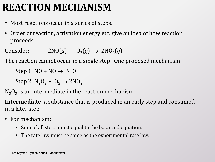#### **REACTION MECHANISM**

- Most reactions occur in a series of steps.
- Order of reaction, activation energy etc. give an idea of how reaction proceeds.

Consider:  $2NO(g) + O_2(g) \rightarrow 2NO_2(g)$ 

The reaction cannot occur in a single step. One proposed mechanism:

Step 1:  $NO + NO \rightarrow N_2O_2$ 

Step 2:  $N_2O_2 + O_2 \rightarrow 2NO_2$ 

 $N_2O_2$  is an intermediate in the reaction mechanism.

**Intermediate**: a substance that is produced in an early step and consumed in a later step

- For mechanism:
	- Sum of all steps must equal to the balanced equation.
	- The rate law must be same as the experimental rate law.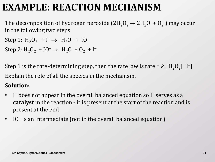#### **EXAMPLE: REACTION MECHANISM**

The decomposition of hydrogen peroxide (2H<sub>2</sub>O<sub>2</sub>  $\rightarrow$  2H<sub>2</sub>O + O<sub>2</sub>) may occur in the following two steps

Step 1:  $H_2O_2$  + I<sup>-</sup>  $\rightarrow$   $H_2O$  + IO<sup>-</sup>

Step 2:  $H_2O_2$  + IO<sup>-</sup>  $\rightarrow$   $H_2O$  + O<sub>2</sub> + I<sup>-</sup>

Step 1 is the rate-determining step, then the rate law is rate =  $k_1$ [H<sub>2</sub>O<sub>2</sub>] [I<sup>-</sup>] Explain the role of all the species in the mechanism.

#### **Solution:**

- I does not appear in the overall balanced equation so I<sup>-</sup> serves as a **catalyst** in the reaction - it is present at the start of the reaction and is present at the end
- IO<sup>-</sup> is an intermediate (not in the overall balanced equation)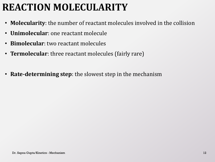## **REACTION MOLECULARITY**

- **Molecularity**: the number of reactant molecules involved in the collision
- **Unimolecular**: one reactant molecule
- **Bimolecular**: two reactant molecules
- **Termolecular**: three reactant molecules (fairly rare)
- **Rate-determining step**: the slowest step in the mechanism